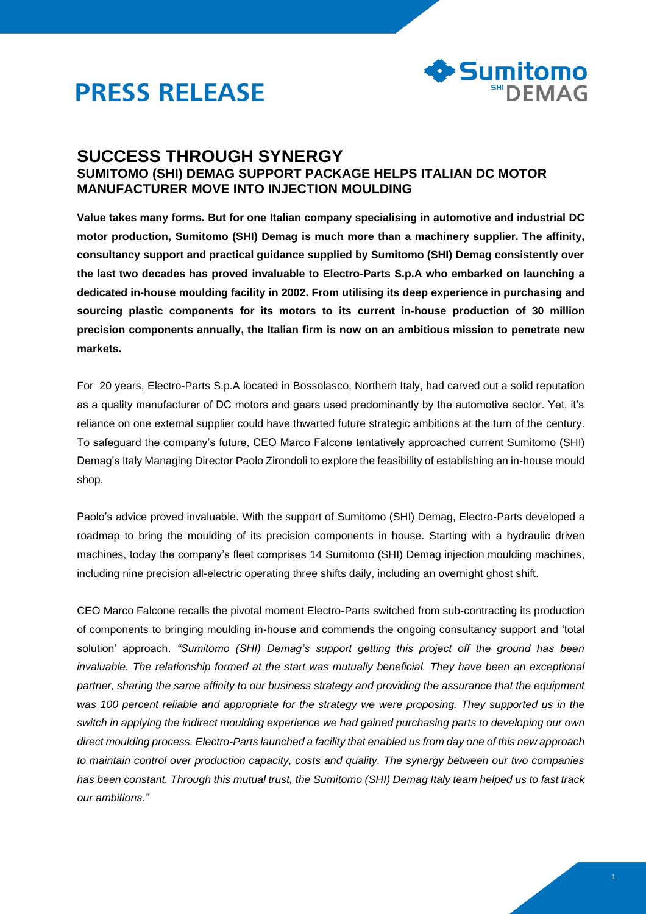



# **SUCCESS THROUGH SYNERGY SUMITOMO (SHI) DEMAG SUPPORT PACKAGE HELPS ITALIAN DC MOTOR MANUFACTURER MOVE INTO INJECTION MOULDING**

**Value takes many forms. But for one Italian company specialising in automotive and industrial DC motor production, Sumitomo (SHI) Demag is much more than a machinery supplier. The affinity, consultancy support and practical guidance supplied by Sumitomo (SHI) Demag consistently over the last two decades has proved invaluable to Electro-Parts S.p.A who embarked on launching a dedicated in-house moulding facility in 2002. From utilising its deep experience in purchasing and sourcing plastic components for its motors to its current in-house production of 30 million precision components annually, the Italian firm is now on an ambitious mission to penetrate new markets.** 

For 20 years, Electro-Parts S.p.A located in Bossolasco, Northern Italy, had carved out a solid reputation as a quality manufacturer of DC motors and gears used predominantly by the automotive sector. Yet, it's reliance on one external supplier could have thwarted future strategic ambitions at the turn of the century. To safeguard the company's future, CEO Marco Falcone tentatively approached current Sumitomo (SHI) Demag's Italy Managing Director Paolo Zirondoli to explore the feasibility of establishing an in-house mould shop.

Paolo's advice proved invaluable. With the support of Sumitomo (SHI) Demag, Electro-Parts developed a roadmap to bring the moulding of its precision components in house. Starting with a hydraulic driven machines, today the company's fleet comprises 14 Sumitomo (SHI) Demag injection moulding machines, including nine precision all-electric operating three shifts daily, including an overnight ghost shift.

CEO Marco Falcone recalls the pivotal moment Electro-Parts switched from sub-contracting its production of components to bringing moulding in-house and commends the ongoing consultancy support and 'total solution' approach. *"Sumitomo (SHI) Demag's support getting this project off the ground has been invaluable. The relationship formed at the start was mutually beneficial. They have been an exceptional partner, sharing the same affinity to our business strategy and providing the assurance that the equipment was 100 percent reliable and appropriate for the strategy we were proposing. They supported us in the switch in applying the indirect moulding experience we had gained purchasing parts to developing our own direct moulding process. Electro-Parts launched a facility that enabled us from day one of this new approach to maintain control over production capacity, costs and quality. The synergy between our two companies has been constant. Through this mutual trust, the Sumitomo (SHI) Demag Italy team helped us to fast track our ambitions."*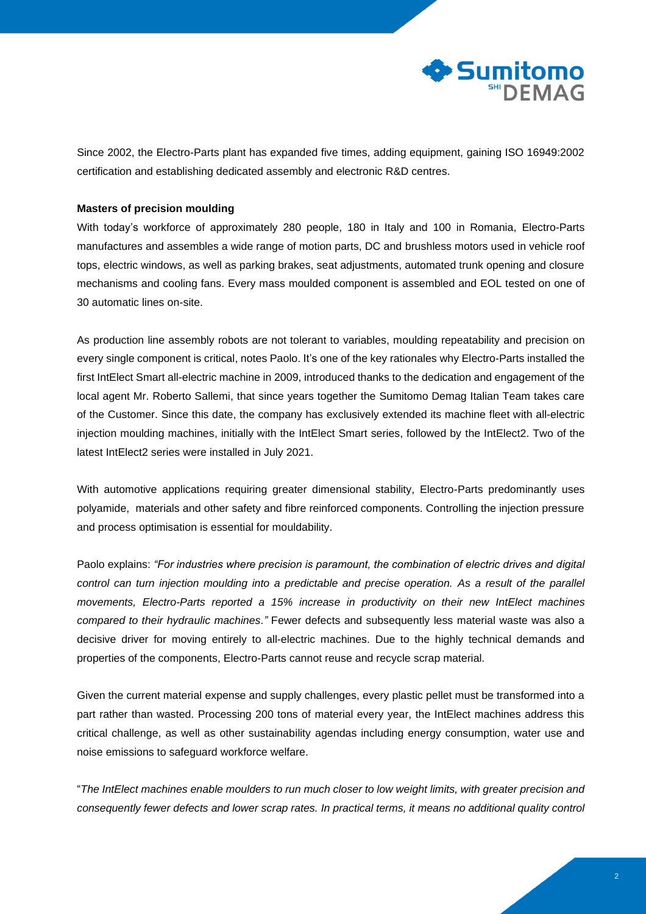

Since 2002, the Electro-Parts plant has expanded five times, adding equipment, gaining ISO 16949:2002 certification and establishing dedicated assembly and electronic R&D centres.

### **Masters of precision moulding**

With today's workforce of approximately 280 people, 180 in Italy and 100 in Romania, Electro-Parts manufactures and assembles a wide range of motion parts, DC and brushless motors used in vehicle roof tops, electric windows, as well as parking brakes, seat adjustments, automated trunk opening and closure mechanisms and cooling fans. Every mass moulded component is assembled and EOL tested on one of 30 automatic lines on-site.

As production line assembly robots are not tolerant to variables, moulding repeatability and precision on every single component is critical, notes Paolo. It's one of the key rationales why Electro-Parts installed the first IntElect Smart all-electric machine in 2009, introduced thanks to the dedication and engagement of the local agent Mr. Roberto Sallemi, that since years together the Sumitomo Demag Italian Team takes care of the Customer. Since this date, the company has exclusively extended its machine fleet with all-electric injection moulding machines, initially with the IntElect Smart series, followed by the IntElect2. Two of the latest IntElect2 series were installed in July 2021.

With automotive applications requiring greater dimensional stability, Electro-Parts predominantly uses polyamide, materials and other safety and fibre reinforced components. Controlling the injection pressure and process optimisation is essential for mouldability.

Paolo explains: *"For industries where precision is paramount, the combination of electric drives and digital*  control can turn injection moulding into a predictable and precise operation. As a result of the parallel *movements, Electro-Parts reported a 15% increase in productivity on their new IntElect machines compared to their hydraulic machines."* Fewer defects and subsequently less material waste was also a decisive driver for moving entirely to all-electric machines. Due to the highly technical demands and properties of the components, Electro-Parts cannot reuse and recycle scrap material.

Given the current material expense and supply challenges, every plastic pellet must be transformed into a part rather than wasted. Processing 200 tons of material every year, the IntElect machines address this critical challenge, as well as other sustainability agendas including energy consumption, water use and noise emissions to safeguard workforce welfare.

"*The IntElect machines enable moulders to run much closer to low weight limits, with greater precision and consequently fewer defects and lower scrap rates. In practical terms, it means no additional quality control*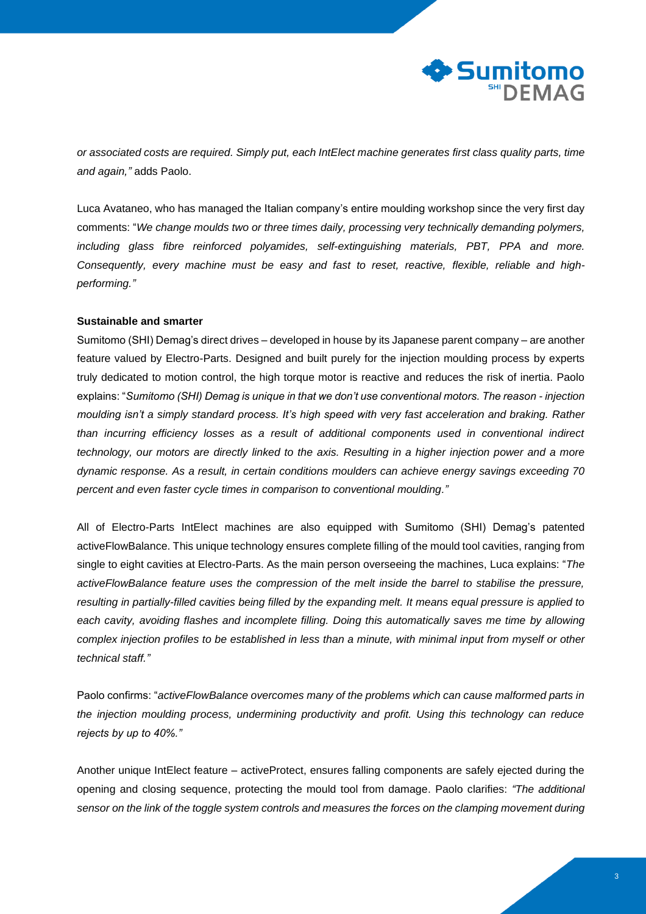

*or associated costs are required. Simply put, each IntElect machine generates first class quality parts, time and again,"* adds Paolo.

Luca Avataneo, who has managed the Italian company's entire moulding workshop since the very first day comments: "*We change moulds two or three times daily, processing very technically demanding polymers, including glass fibre reinforced polyamides, self-extinguishing materials, PBT, PPA and more. Consequently, every machine must be easy and fast to reset, reactive, flexible, reliable and highperforming."*

#### **Sustainable and smarter**

Sumitomo (SHI) Demag's direct drives – developed in house by its Japanese parent company – are another feature valued by Electro-Parts. Designed and built purely for the injection moulding process by experts truly dedicated to motion control, the high torque motor is reactive and reduces the risk of inertia. Paolo explains: "*Sumitomo (SHI) Demag is unique in that we don't use conventional motors. The reason - injection moulding isn't a simply standard process. It's high speed with very fast acceleration and braking. Rather than incurring efficiency losses as a result of additional components used in conventional indirect technology, our motors are directly linked to the axis. Resulting in a higher injection power and a more dynamic response. As a result, in certain conditions moulders can achieve energy savings exceeding 70 percent and even faster cycle times in comparison to conventional moulding."* 

All of Electro-Parts IntElect machines are also equipped with Sumitomo (SHI) Demag's patented activeFlowBalance. This unique technology ensures complete filling of the mould tool cavities, ranging from single to eight cavities at Electro-Parts. As the main person overseeing the machines, Luca explains: "*The activeFlowBalance feature uses the compression of the melt inside the barrel to stabilise the pressure, resulting in partially-filled cavities being filled by the expanding melt. It means equal pressure is applied to each cavity, avoiding flashes and incomplete filling. Doing this automatically saves me time by allowing complex injection profiles to be established in less than a minute, with minimal input from myself or other technical staff."*

Paolo confirms: "*activeFlowBalance overcomes many of the problems which can cause malformed parts in the injection moulding process, undermining productivity and profit. Using this technology can reduce rejects by up to 40%."* 

Another unique IntElect feature – activeProtect, ensures falling components are safely ejected during the opening and closing sequence, protecting the mould tool from damage. Paolo clarifies: *"The additional sensor on the link of the toggle system controls and measures the forces on the clamping movement during*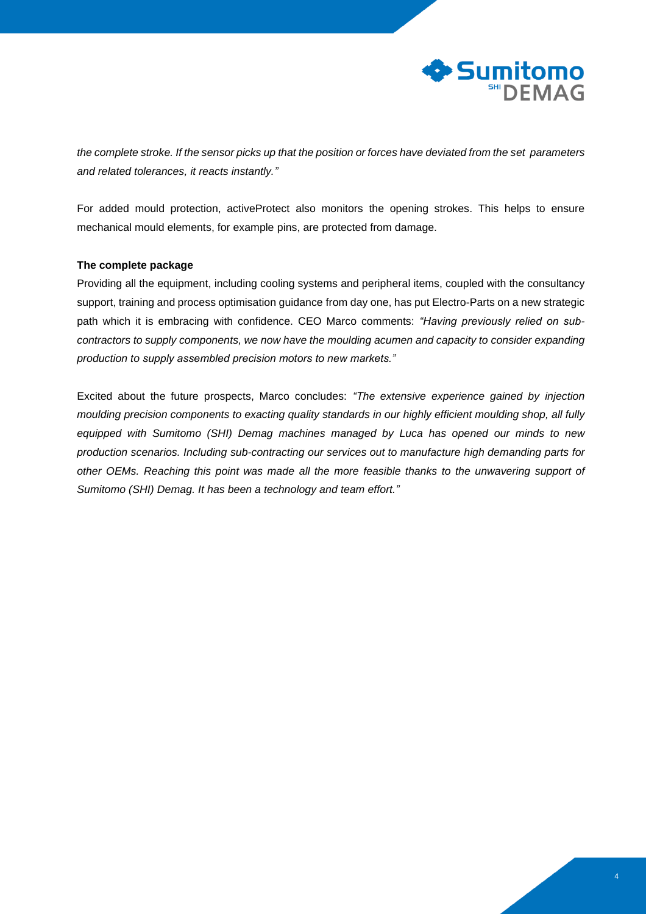

*the complete stroke. If the sensor picks up that the position or forces have deviated from the set parameters and related tolerances, it reacts instantly."*

For added mould protection, activeProtect also monitors the opening strokes. This helps to ensure mechanical mould elements, for example pins, are protected from damage.

## **The complete package**

Providing all the equipment, including cooling systems and peripheral items, coupled with the consultancy support, training and process optimisation guidance from day one, has put Electro-Parts on a new strategic path which it is embracing with confidence. CEO Marco comments: *"Having previously relied on subcontractors to supply components, we now have the moulding acumen and capacity to consider expanding production to supply assembled precision motors to new markets."*

Excited about the future prospects, Marco concludes: *"The extensive experience gained by injection moulding precision components to exacting quality standards in our highly efficient moulding shop, all fully equipped with Sumitomo (SHI) Demag machines managed by Luca has opened our minds to new production scenarios. Including sub-contracting our services out to manufacture high demanding parts for other OEMs. Reaching this point was made all the more feasible thanks to the unwavering support of Sumitomo (SHI) Demag. It has been a technology and team effort."*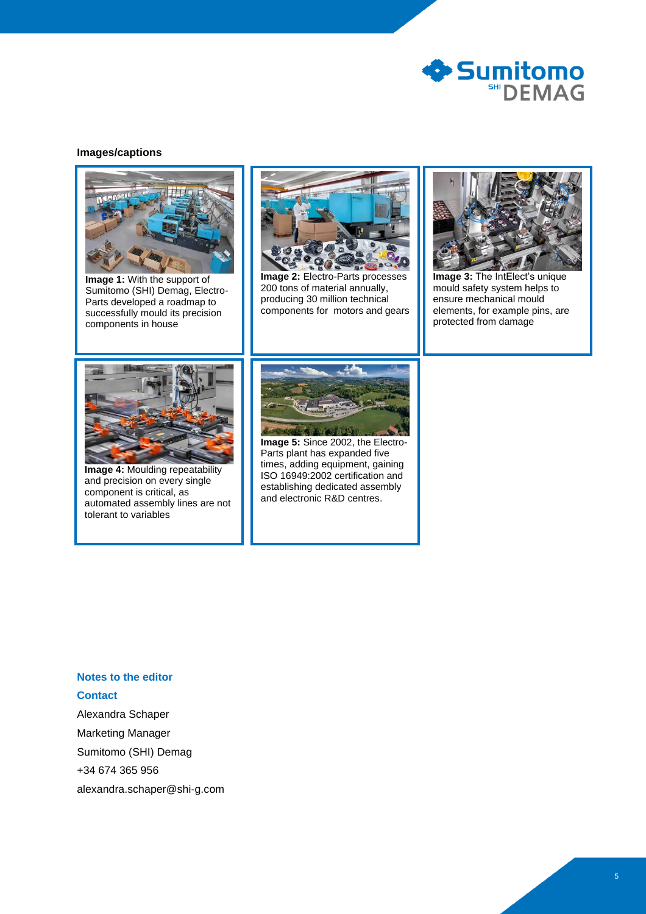

#### **Images/captions**



**Image 1:** With the support of Sumitomo (SHI) Demag, Electro-Parts developed a roadmap to successfully mould its precision components in house



**Image 2:** Electro-Parts processes 200 tons of material annually, producing 30 million technical components for motors and gears



**Image 3:** The IntElect's unique mould safety system helps to ensure mechanical mould elements, for example pins, are protected from damage



**Image 4:** Moulding repeatability and precision on every single component is critical, as automated assembly lines are not tolerant to variables



**Image 5:** Since 2002, the Electro-Parts plant has expanded five times, adding equipment, gaining ISO 16949:2002 certification and establishing dedicated assembly and electronic R&D centres.

# **Notes to the editor Contact**

Alexandra Schaper Marketing Manager Sumitomo (SHI) Demag +34 674 365 956 alexandra.schaper@shi-g.com